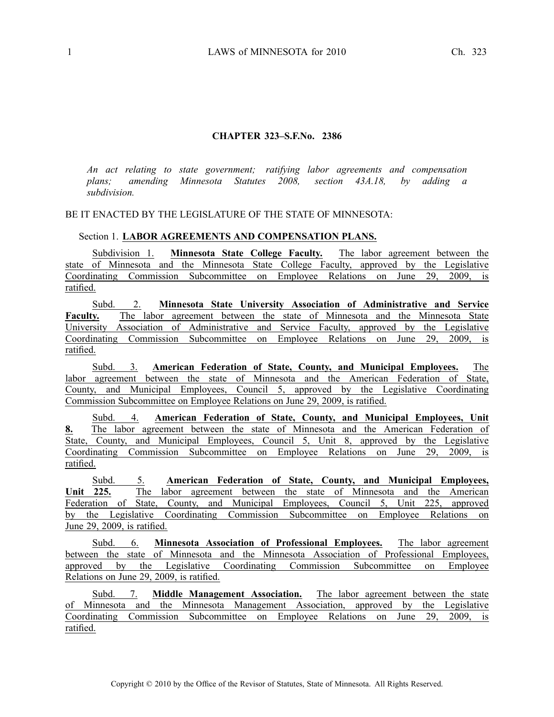## **CHAPTER 323–S.F.No. 2386**

*An act relating to state government; ratifying labor agreements and compensation plans; amending Minnesota Statutes 2008, section 43A.18, by adding <sup>a</sup> subdivision.*

## BE IT ENACTED BY THE LEGISLATURE OF THE STATE OF MINNESOTA:

## Section 1. **LABOR AGREEMENTS AND COMPENSATION PLANS.**

Subdivision 1. **Minnesota State College Faculty.** The labor agreemen<sup>t</sup> between the state of Minnesota and the Minnesota State College Faculty, approved by the Legislative Coordinating Commission Subcommittee on Employee Relations on June 29, 2009, is ratified.

Subd. 2. **Minnesota State University Association of Administrative and Service Faculty.** The labor agreemen<sup>t</sup> between the state of Minnesota and the Minnesota State University Association of Administrative and Service Faculty, approved by the Legislative Coordinating Commission Subcommittee on Employee Relations on June 29, 2009, is ratified.

Subd. 3. **American Federation of State, County, and Municipal Employees.** The labor agreemen<sup>t</sup> between the state of Minnesota and the American Federation of State, County, and Municipal Employees, Council 5, approved by the Legislative Coordinating Commission Subcommittee on Employee Relations on June 29, 2009, is ratified.

Subd. 4. **American Federation of State, County, and Municipal Employees, Unit 8.** The labor agreemen<sup>t</sup> between the state of Minnesota and the American Federation of State, County, and Municipal Employees, Council 5, Unit 8, approved by the Legislative Coordinating Commission Subcommittee on Employee Relations on June 29, 2009, is ratified.

Subd. 5. **American Federation of State, County, and Municipal Employees, Unit 225.** The labor agreemen<sup>t</sup> between the state of Minnesota and the American Federation of State, County, and Municipal Employees, Council 5, Unit 225, approved by the Legislative Coordinating Commission Subcommittee on Employee Relations on June 29, 2009, is ratified.

Subd. 6. **Minnesota Association of Professional Employees.** The labor agreemen<sup>t</sup> between the state of Minnesota and the Minnesota Association of Professional Employees, approved by the Legislative Coordinating Commission Subcommittee on Employee Relations on June 29, 2009, is ratified.

Subd. 7. **Middle Management Association.** The labor agreemen<sup>t</sup> between the state of Minnesota and the Minnesota Management Association, approved by the Legislative Coordinating Commission Subcommittee on Employee Relations on June 29, 2009, is ratified.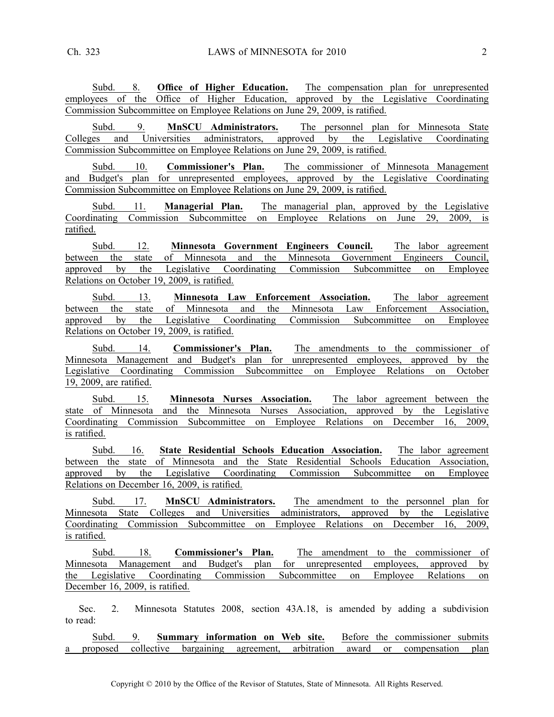Subd. 8. **Office of Higher Education.** The compensation plan for unrepresented employees of the Office of Higher Education, approved by the Legislative Coordinating Commission Subcommittee on Employee Relations on June 29, 2009, is ratified.

Subd. 9. **MnSCU Administrators.** The personnel plan for Minnesota State Colleges and Universities administrators, approved by the Legislative Coordinating Commission Subcommittee on Employee Relations on June 29, 2009, is ratified.

Subd. 10. **Commissioner's Plan.** The commissioner of Minnesota Management and Budget's plan for unrepresented employees, approved by the Legislative Coordinating Commission Subcommittee on Employee Relations on June 29, 2009, is ratified.

Subd. 11. **Managerial Plan.** The managerial plan, approved by the Legislative Coordinating Commission Subcommittee on Employee Relations on June 29, 2009, is ratified.

Subd. 12. **Minnesota Government Engineers Council.** The labor agreemen<sup>t</sup> between the state of Minnesota and the Minnesota Government Engineers Council, approved by the Legislative Coordinating Commission Subcommittee on Employee Relations on October 19, 2009, is ratified.

Subd. 13. **Minnesota Law Enforcement Association.** The labor agreemen<sup>t</sup> between the state of Minnesota and the Minnesota Law Enforcement Association, approved by the Legislative Coordinating Commission Subcommittee on Employee Relations on October 19, 2009, is ratified.

Subd. 14. **Commissioner's Plan.** The amendments to the commissioner of Minnesota Management and Budget's plan for unrepresented employees, approved by the Legislative Coordinating Commission Subcommittee on Employee Relations on October 19, 2009, are ratified.

Subd. 15. **Minnesota Nurses Association.** The labor agreemen<sup>t</sup> between the state of Minnesota and the Minnesota Nurses Association, approved by the Legislative Coordinating Commission Subcommittee on Employee Relations on December 16, 2009, is ratified.

Subd. 16. **State Residential Schools Education Association.** The labor agreemen<sup>t</sup> between the state of Minnesota and the State Residential Schools Education Association, approved by the Legislative Coordinating Commission Subcommittee on Employee Relations on December 16, 2009, is ratified.

Subd. 17. **MnSCU Administrators.** The amendment to the personnel plan for Minnesota State Colleges and Universities administrators, approved by the Legislative Coordinating Commission Subcommittee on Employee Relations on December 16, 2009, is ratified.

Subd. 18. **Commissioner's Plan.** The amendment to the commissioner of Minnesota Management and Budget's plan for unrepresented employees, approved by the Legislative Coordinating Commission Subcommittee on Employee Relations on December 16, 2009, is ratified.

Sec. 2. Minnesota Statutes 2008, section 43A.18, is amended by adding <sup>a</sup> subdivision to read:

Subd. 9. **Summary information on Web site.** Before the commissioner submits <sup>a</sup> proposed collective bargaining agreement, arbitration award or compensation plan